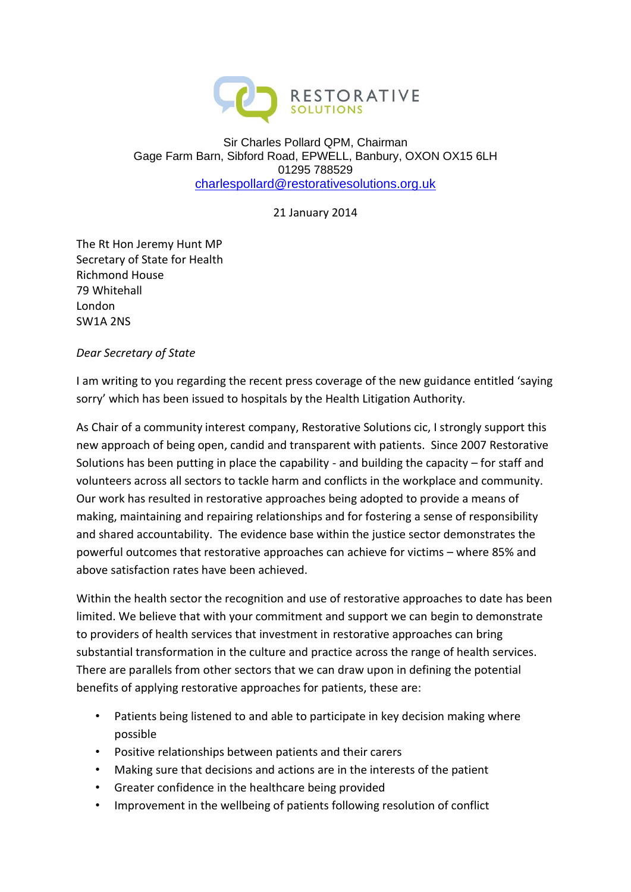

## Sir Charles Pollard QPM, Chairman Gage Farm Barn, Sibford Road, EPWELL, Banbury, OXON OX15 6LH 01295 788529 [charlespollard@restorativesolutions.org.uk](mailto:charlespollard@restorativesolutions.org.uk)

21 January 2014

The Rt Hon Jeremy Hunt MP Secretary of State for Health Richmond House 79 Whitehall London SW1A 2NS

## *Dear Secretary of State*

I am writing to you regarding the recent press coverage of the new guidance entitled 'saying sorry' which has been issued to hospitals by the Health Litigation Authority.

As Chair of a community interest company, Restorative Solutions cic, I strongly support this new approach of being open, candid and transparent with patients. Since 2007 Restorative Solutions has been putting in place the capability - and building the capacity – for staff and volunteers across all sectors to tackle harm and conflicts in the workplace and community. Our work has resulted in restorative approaches being adopted to provide a means of making, maintaining and repairing relationships and for fostering a sense of responsibility and shared accountability. The evidence base within the justice sector demonstrates the powerful outcomes that restorative approaches can achieve for victims – where 85% and above satisfaction rates have been achieved.

Within the health sector the recognition and use of restorative approaches to date has been limited. We believe that with your commitment and support we can begin to demonstrate to providers of health services that investment in restorative approaches can bring substantial transformation in the culture and practice across the range of health services. There are parallels from other sectors that we can draw upon in defining the potential benefits of applying restorative approaches for patients, these are:

- Patients being listened to and able to participate in key decision making where possible
- Positive relationships between patients and their carers
- Making sure that decisions and actions are in the interests of the patient
- Greater confidence in the healthcare being provided
- Improvement in the wellbeing of patients following resolution of conflict